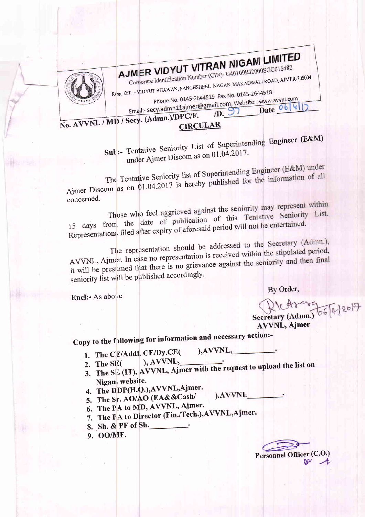

## AJMER VIDYUT VITRAN NIGAM LIMITED Corporate Identification Number (CIN)- U40109RJ2000SGC016482

Resg. Off. :- VIDYUT BHAWAN, PANCHSHEEL NAGAR, MAKADWALI ROAD, AJMER-305004

Phone No. 0145-2644519 Fax No. 0145-2644518

Email:- secy.admn11ajmer@gmail.com, Website:- www.avvnl.com  $(D. 97)$  Date  $06|4|1$ 

No. AVVNL / MD / Secy. (Admn.)/DPC/F. **CIRCULAR** 

> Sub:- Tentative Seniority List of Superintending Engineer (E&M) under Ajmer Discom as on 01.04.2017.

The Tentative Seniority list of Superintending Engineer (E&M) under Ajmer Discom as on 01.04.2017 is hereby published for the information of all concerned.

Those who feel aggrieved against the seniority may represent within 15 days from the date of publication of this Tentative Seniority List. Representations filed after expiry of aforesaid period will not be entertained.

The representation should be addressed to the Secretary (Admn.), AVVNL, Ajmer. In case no representation is received within the stipulated period, it will be presumed that there is no grievance against the seniority and then final seniority list will be published accordingly.

By Order,

Encl:- As above

Secretary (Admn.) 06 [4 2017

**AVVNL, Ajmer** 

Copy to the following for information and necessary action:-

1. The CE/Addl. CE/Dy.CE(

), AVVNL,

).AVVNL

- $), AVVNL,$
- 3. The SE (IT), AVVNL, Ajmer with the request to upload the list on Nigam website.
- 4. The DDP(H.Q.), AVVNL, Ajmer.
- 5. The Sr. AO/AO (EA&&Cash/
- 6. The PA to MD, AVVNL, Ajmer.
- 7. The PA to Director (Fin./Tech.), AVVNL, Ajmer.
- 8. Sh. & PF of Sh.
- 9. OO/MF.

Personnel Officer (C.O.)  $\mathbf{W}$